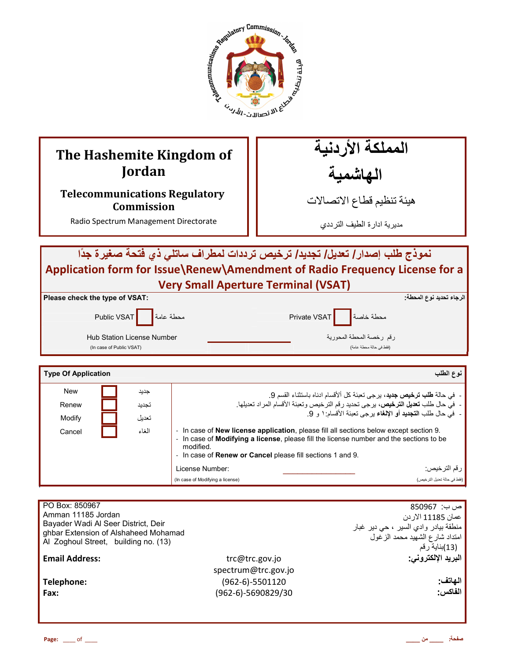

# **The Hashemite Kingdom of Jordan**

## **Telecommunications Regulatory Commission**

Radio Spectrum Management Directorate

المملكة الأردنية الـهاشْمية

هيئة تنظيم قطاع الاتصـالات

مديرية ادارة الطيف الترددي

# نموذج طلب إصدار / تعديل/ تجديد/ ترخيص ترددات لمطراف ساتلي ذي فتحة صغيرة جدًا **Application form for Issue\Renew\Amendment of Radio Frequency License for a Very Small Aperture Terminal (VSAT)**

| Please check the type of VSAT:                         | الرجاء تحديد نوع المحطة <u>:</u>                    |
|--------------------------------------------------------|-----------------------------------------------------|
| Public VSAT محطة عامة                                  | Arivate VSAT                                        |
| Hub Station License Number<br>(In case of Public VSAT) | رقم رخصة المحطة المحورية<br>(فقط في حالة محطة عامة) |

| <b>Type Of Application</b> |       |                                                                                                                                                                                                                                                                                   | نوع الطلب                    |
|----------------------------|-------|-----------------------------------------------------------------------------------------------------------------------------------------------------------------------------------------------------------------------------------------------------------------------------------|------------------------------|
| <b>New</b>                 | جديد  | -  في حالة <b>طلب ترخيص جديد</b> ، برجي تعبئة كل ألأقسام ادناه باستثناء القسم 9.                                                                                                                                                                                                  |                              |
| Renew                      | تجديد | -  في حال طلب تعديل الترخيص، يرجى تحديد رقم الترخيص وتعبئة الأقسام المراد تعديلها.                                                                                                                                                                                                |                              |
| Modify                     | تعديل | -  في حال طلب ا <b>لتجديد</b> أو الإ <b>لغ</b> اء برجي تعبئة الأقسام: ١ و 9.                                                                                                                                                                                                      |                              |
| الغاء<br>Cancel            |       | In case of <b>New license application</b> , please fill all sections below except section 9.<br>- In case of <b>Modifying a license</b> , please fill the license number and the sections to be<br>modified.<br>- In case of <b>Renew or Cancel</b> please fill sections 1 and 9. |                              |
|                            |       | License Number:                                                                                                                                                                                                                                                                   | ر قم الترخيص:                |
|                            |       | (In case of Modifying a license)                                                                                                                                                                                                                                                  | (فقط في حالة تحديل التر خيص) |

| PO Box: 850967                                                               |                      | ص ب:  850967                         |
|------------------------------------------------------------------------------|----------------------|--------------------------------------|
| Amman 11185 Jordan                                                           |                      | عمان 11185 الاردن                    |
| Bayader Wadi Al Seer District, Deir                                          |                      | منطقة بيادر وادي السير ، حي دير غبار |
| ghbar Extension of Alshaheed Mohamad<br>Al Zoghoul Street, building no. (13) |                      | امتداد شارع الشهيد محمد الزغول       |
|                                                                              |                      | (13)بناية رقم                        |
| <b>Email Address:</b>                                                        | trc@trc.gov.jo       | البريد الإلكتروني:                   |
|                                                                              | spectrum@trc.gov.jo  |                                      |
| Telephone:                                                                   | $(962-6)-5501120$    | الهاتف:                              |
| Fax:                                                                         |                      | الفاكس:                              |
|                                                                              |                      |                                      |
|                                                                              |                      |                                      |
|                                                                              | $(962-6)-5690829/30$ |                                      |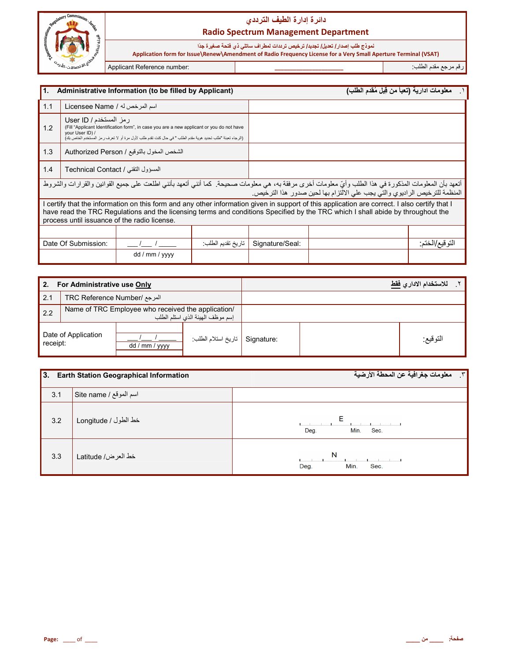

## دائرة إدارة الطيف الترد*دي* **Radio Spectrum Management Department**

نموذج طلب إصدار / تعديل/ تجديد/ ترخيص ترددات لمطراف ساتلي ذي فتحة صغيرة جدًا  **Application form for Issue\Renew\Amendment of Radio Frequency License for a Very Small Aperture Terminal (VSAT)**

ر\*م ر4k 0دم اطFب: **\_\_\_\_\_\_\_\_\_\_\_\_\_\_\_\_\_\_\_\_\_\_** :number Reference Applicant

İ

| 11.                                                                                                                                                                                                                                                        |                                                                                                                                                                                                                                                                                                                                  | Administrative Information (to be filled by Applicant) |                   |                 | معلومات ادارية (تعبأ من قِبل مُقدم الطلب) |                 |
|------------------------------------------------------------------------------------------------------------------------------------------------------------------------------------------------------------------------------------------------------------|----------------------------------------------------------------------------------------------------------------------------------------------------------------------------------------------------------------------------------------------------------------------------------------------------------------------------------|--------------------------------------------------------|-------------------|-----------------|-------------------------------------------|-----------------|
| 1.1                                                                                                                                                                                                                                                        | اسم المرخص له / Licensee Name                                                                                                                                                                                                                                                                                                    |                                                        |                   |                 |                                           |                 |
| رمز المستخدم / User ID<br>1.2<br>(Fill "Applicant Identification form", in case you are a new applicant or you do not have<br>your User ID) /<br>(الرجاء تعبئة "طلب تحديد هوية مقدم الطلب " في حال كنت تقدم طلب لأول مرة أو لا تعرف رمز المستخدم الخاص بك) |                                                                                                                                                                                                                                                                                                                                  |                                                        |                   |                 |                                           |                 |
| 1.3<br>الشخص المخول بالتوقيع / Authorized Person                                                                                                                                                                                                           |                                                                                                                                                                                                                                                                                                                                  |                                                        |                   |                 |                                           |                 |
| 1.4                                                                                                                                                                                                                                                        | المسؤول التقني / Technical Contact                                                                                                                                                                                                                                                                                               |                                                        |                   |                 |                                           |                 |
|                                                                                                                                                                                                                                                            | أتعهد بأن المعلومات المذكورة في هذا الطلب وأيّ معلومات أخرى مرفقة به، هي معلومات صحيحة. كما أنني أتعهد بأنني اطلعت على جميع القوانين والقرارات والشروط<br>المنظمة للترخيص الراديوي والتي يجب على الالتزام بها لحين صدور هذا الترخيص.                                                                                             |                                                        |                   |                 |                                           |                 |
|                                                                                                                                                                                                                                                            | I certify that the information on this form and any other information given in support of this application are correct. I also certify that I<br>have read the TRC Regulations and the licensing terms and conditions Specified by the TRC which I shall abide by throughout the<br>process until issuance of the radio license. |                                                        |                   |                 |                                           |                 |
|                                                                                                                                                                                                                                                            |                                                                                                                                                                                                                                                                                                                                  |                                                        |                   |                 |                                           |                 |
|                                                                                                                                                                                                                                                            | Date Of Submission:                                                                                                                                                                                                                                                                                                              |                                                        | تاريخ تقديم الطلب | Signature/Seal: |                                           | التو قيع/الختم: |
|                                                                                                                                                                                                                                                            |                                                                                                                                                                                                                                                                                                                                  | dd / mm / yyyy                                         |                   |                 |                                           |                 |

| For Administrative use Only<br>2. |                                                                                        |                |                    | للاستخدام الاداري فقط |          |
|-----------------------------------|----------------------------------------------------------------------------------------|----------------|--------------------|-----------------------|----------|
| 2.1                               | المرجع /TRC Reference Number                                                           |                |                    |                       |          |
| 2.2                               | Name of TRC Employee who received the application/<br>إسم موظف الهيئة الذي استلم الطلب |                |                    |                       |          |
| Date of Application<br>receipt:   |                                                                                        | dd / mm / yyyy | تاريخ استلام الطلب | Signature:            | التوقيع: |

| 3.  | <b>Earth Station Geographical Information</b> | معلومات جغرافية عن المحطة الأرضية<br>$\mathbf{r}$ |
|-----|-----------------------------------------------|---------------------------------------------------|
| 3.1 | Site name / اسم الموقع / Site name            |                                                   |
| 3.2 | خط الطول / Longitude                          | Ε<br>Min.<br>Sec.<br>Deg.                         |
| 3.3 | خط العرض/ Latitude                            | N<br>Min.<br>Deg.<br>Sec.                         |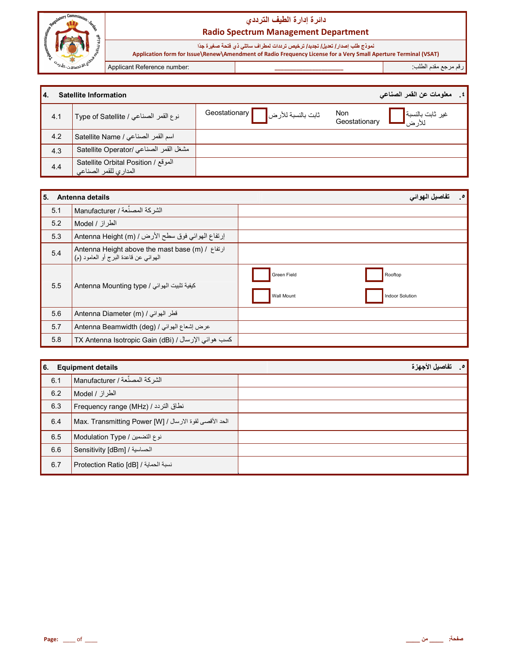

## دائرة إدارة الطيف الترددي **Radio Spectrum Management Department**

نموذج طلب إصدا*ر |* تعديل/ تجديد/ ترخيص ترددات لمطراف ساتلي ذي فتحة صغيرة جدًا<br>Application form for Issue\Renew\Amendment of Radio Frequency License for a Very Small Aperture Terminal (VSAT)

Applicant Reference number:

رقم مرجع مقدم الطلب

| 14. | <b>Satellite Information</b>                                 |                                    | ٤ _   معلومات عن القمر الصناعي                                           |
|-----|--------------------------------------------------------------|------------------------------------|--------------------------------------------------------------------------|
| 4.1 | دوع القمر الصناعي / Type of Satellite                        | ثابت بالنسبة للأرض Geostationary [ | <b>Non</b><br>غير ثابت بالنسبة <mark>.</mark><br>للأر ض<br>Geostationary |
| 4.2 | اسم القمر الصناعي / Satellite Name                           |                                    |                                                                          |
| 4.3 | مشغل القمر الصناعي /Satellite Operator                       |                                    |                                                                          |
| 4.4 | الموقع / Satellite Orbital Position<br>المداري للقمر الصناعي |                                    |                                                                          |

| 5.  | Antenna details                                                                             |                                  | $\bullet$<br>تفاصيل الهواني |
|-----|---------------------------------------------------------------------------------------------|----------------------------------|-----------------------------|
| 5.1 | الشركة المصنِّعة / Manufacturer                                                             |                                  |                             |
| 5.2 | الطراز / Model                                                                              |                                  |                             |
| 5.3 | إرتفاع الهوائي فوق سطح الأرض / (Antenna Height (m                                           |                                  |                             |
| 5.4 | Antenna Height above the mast base (m) / ارتفاع /<br>المهوائي عن قاعدة البرج أو العامود (م) |                                  |                             |
| 5.5 | كيفية تثبيت الهوائي / Antenna Mounting type                                                 | Green Field<br><b>Wall Mount</b> | Rooftop<br>Indoor Solution  |
| 5.6 | Antenna Diameter (m) / قطر الهوائي                                                          |                                  |                             |
| 5.7 | Antenna Beamwidth (deg) / عرض إشعاع الهوائي                                                 |                                  |                             |
| 5.8 | TX Antenna Isotropic Gain (dBi) / كسب هوائي الإرسال                                         |                                  |                             |

| 6.  | <b>Equipment details</b>                                | تفاصيل الأجهزة |
|-----|---------------------------------------------------------|----------------|
| 6.1 | الشركة المصنِّعة / Manufacturer                         |                |
| 6.2 | الطراز / Model ا                                        |                |
| 6.3 | Frequency range (MHz) / نطاق التردد /                   |                |
| 6.4 | الحد الأقصى لقوة الارسال / [Max. Transmitting Power [W] |                |
| 6.5 | نوع التضمين / Modulation Type                           |                |
| 6.6 | الحساسية / Sensitivity [dBm]                            |                |
| 6.7 | Erotection Ratio [dB] / نسبة الحماية /                  |                |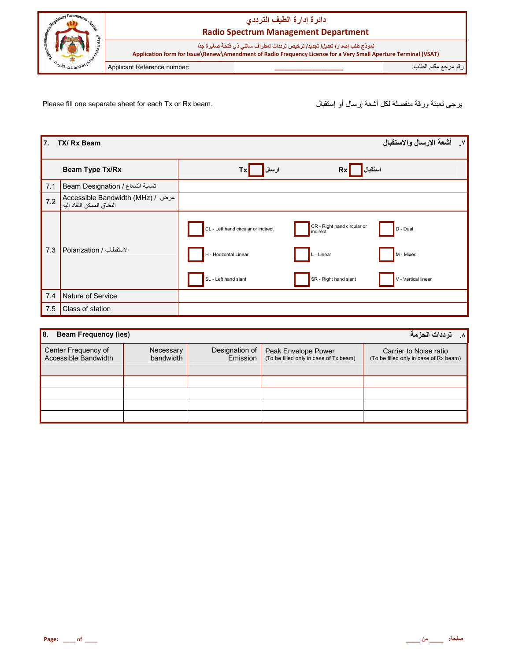

Please fill one separate sheet for each Tx or Rx beam.

يرجى تعبئة ورقة منفصلة لكل أشعة إرسال أو إستقبال

| 17. | TX/ Rx Beam                                                     | ٧. أشعة الارسال والاستقبال                                                                                                                                                                                             |
|-----|-----------------------------------------------------------------|------------------------------------------------------------------------------------------------------------------------------------------------------------------------------------------------------------------------|
|     | Beam Type Tx/Rx                                                 | ارسال<br>استقبال <mark>ا</mark><br>Rx<br>Tx                                                                                                                                                                            |
| 7.1 | Beam Designation / تسمية الشعاع                                 |                                                                                                                                                                                                                        |
| 7.2 | Accessible Bandwidth (MHz) / عرض /<br>النطاق الممكن النفاذ إليه |                                                                                                                                                                                                                        |
| 7.3 | الاستقطاب / Polarization                                        | CR - Right hand circular or<br>CL - Left hand circular or indirect<br>D - Dual<br>indirect<br>H - Horizontal Linear<br>M - Mixed<br>L - Linear<br>SR - Right hand slant<br>SL - Left hand slant<br>V - Vertical linear |
| 7.4 | Nature of Service                                               |                                                                                                                                                                                                                        |
| 7.5 | Class of station                                                |                                                                                                                                                                                                                        |

| l 8.<br><b>Beam Frequency (ies)</b>                | عترددات الحزمة<br>$\Lambda$ |                            |                                                               |                                                                  |
|----------------------------------------------------|-----------------------------|----------------------------|---------------------------------------------------------------|------------------------------------------------------------------|
| Center Frequency of<br><b>Accessible Bandwidth</b> | Necessary<br>bandwidth      | Designation of<br>Emission | Peak Envelope Power<br>(To be filled only in case of Tx beam) | Carrier to Noise ratio<br>(To be filled only in case of Rx beam) |
|                                                    |                             |                            |                                                               |                                                                  |
|                                                    |                             |                            |                                                               |                                                                  |
|                                                    |                             |                            |                                                               |                                                                  |
|                                                    |                             |                            |                                                               |                                                                  |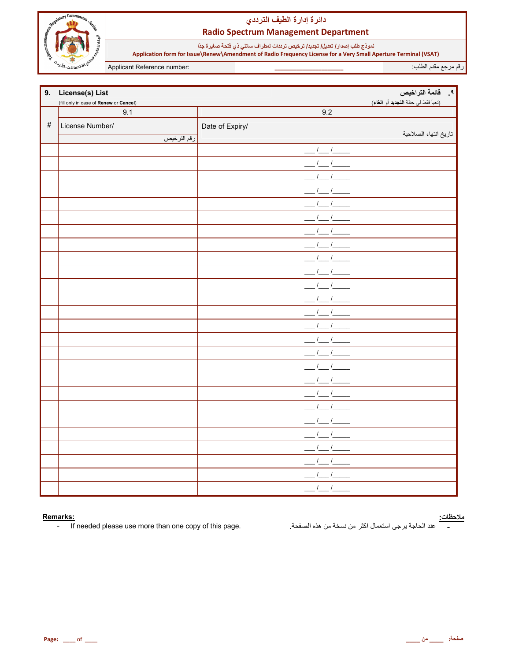

## دائرة إدارة الطيف الترددي **Radio Spectrum Management Department**

نموذج طلب إصدار/ تعليل/ تجديد/ ترخيص ترددات لمطراف ساتلي ذي فتحة صغيرة جدًا<br>Application form for Issue\Renew\Amendment of Radio Frequency License for a Very Small Aperture Terminal (VSAT)

Applicant Reference number:

رقم مرجع مقدم الطلب:

|      | 9. License(s) List                     |                 | ٩. قائمة التراخيص                   |
|------|----------------------------------------|-----------------|-------------------------------------|
|      | (fill only in case of Renew or Cancel) |                 | (تعبأ فقط في حالة التجديد أو الغاء) |
|      | 9.1                                    | 9.2             |                                     |
| $\#$ | License Number/                        | Date of Expiry/ |                                     |
|      | رقم الترخيص                            |                 | تاريخ انتهاء الصلاحية               |
|      |                                        | $1 - 1$         |                                     |
|      |                                        |                 |                                     |
|      |                                        |                 |                                     |
|      |                                        |                 |                                     |
|      |                                        |                 |                                     |
|      |                                        |                 |                                     |
|      |                                        |                 |                                     |
|      |                                        |                 |                                     |
|      |                                        |                 |                                     |
|      |                                        |                 |                                     |
|      |                                        |                 |                                     |
|      |                                        |                 |                                     |
|      |                                        |                 |                                     |
|      |                                        |                 |                                     |
|      |                                        |                 |                                     |
|      |                                        |                 |                                     |
|      |                                        |                 |                                     |
|      |                                        |                 |                                     |
|      |                                        |                 |                                     |
|      |                                        |                 |                                     |
|      |                                        |                 |                                     |
|      |                                        |                 |                                     |
|      |                                        |                 |                                     |
|      |                                        |                 |                                     |
|      |                                        |                 |                                     |
|      |                                        | $\prime$        |                                     |

#### Remarks:

If needed please use more than one copy of this page.  $\sim$